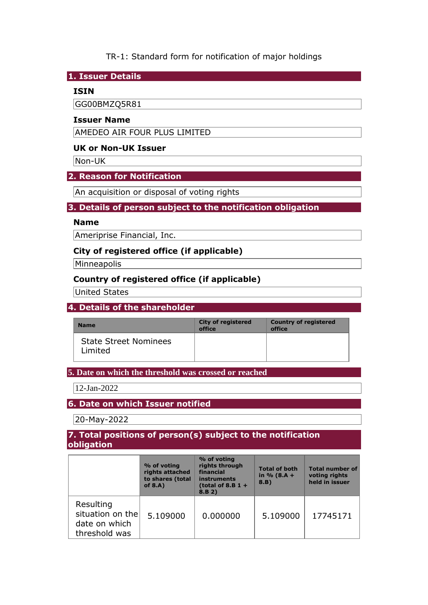## TR-1: Standard form for notification of major holdings

#### **1. Issuer Details**

#### **ISIN**

GG00BMZQ5R81

#### **Issuer Name**

AMEDEO AIR FOUR PLUS LIMITED

### **UK or Non-UK Issuer**

Non-UK

### **2. Reason for Notification**

An acquisition or disposal of voting rights

### **3. Details of person subject to the notification obligation**

#### **Name**

Ameriprise Financial, Inc.

### **City of registered office (if applicable)**

**Minneapolis** 

## **Country of registered office (if applicable)**

United States

## **4. Details of the shareholder**

| <b>Name</b>                             | <b>City of registered</b><br>office | <b>Country of registered</b><br>office |
|-----------------------------------------|-------------------------------------|----------------------------------------|
| <b>State Street Nominees</b><br>Limited |                                     |                                        |

#### **5. Date on which the threshold was crossed or reached**

12-Jan-2022

## **6. Date on which Issuer notified**

20-May-2022

#### **7. Total positions of person(s) subject to the notification obligation**

|                                                                 | % of voting<br>rights attached<br>to shares (total<br>of $8.A$ ) | % of voting<br>rights through<br>financial<br>instruments<br>(total of 8.B $1 +$<br>8.B 2) | <b>Total of both</b><br>in $% (8.A +$<br>8.B) | <b>Total number of</b><br>voting rights<br>held in issuer |
|-----------------------------------------------------------------|------------------------------------------------------------------|--------------------------------------------------------------------------------------------|-----------------------------------------------|-----------------------------------------------------------|
| Resulting<br>situation on the<br>date on which<br>threshold was | 5.109000                                                         | 0.000000                                                                                   | 5.109000                                      | 17745171                                                  |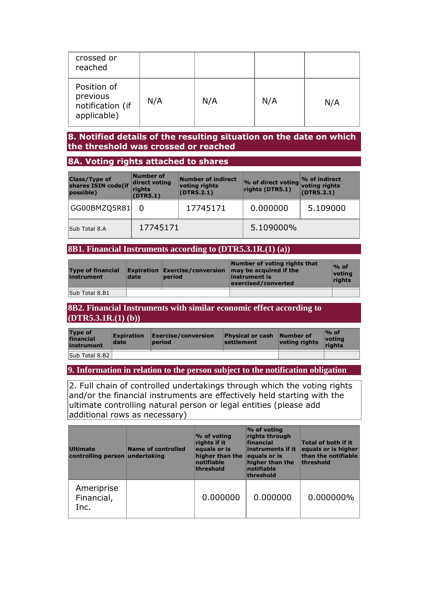| crossed or<br>reached                                      |     |     |     |     |
|------------------------------------------------------------|-----|-----|-----|-----|
| Position of<br>previous<br>notification (if<br>applicable) | N/A | N/A | N/A | N/A |

### **8. Notified details of the resulting situation on the date on which the threshold was crossed or reached**

### **8A. Voting rights attached to shares**

| <b>Class/Type of</b><br>shares ISIN code(if<br>possible) | Number of<br>direct voting<br>rights<br>(DTR5.1) | Number of indirect<br>voting rights<br>(DTR5.2.1) | % of direct voting<br>rights (DTR5.1) | $\%$ of indirect<br>voting rights<br>(DTR5.2.1) |
|----------------------------------------------------------|--------------------------------------------------|---------------------------------------------------|---------------------------------------|-------------------------------------------------|
| GG00BMZQ5R81                                             |                                                  | 17745171                                          | 0.000000                              | 5.109000                                        |
| Sub Total 8.A                                            | 17745171                                         |                                                   | 5.109000%                             |                                                 |

# **8B1. Financial Instruments according to (DTR5.3.1R.(1) (a))**

| <b>Type of financial</b><br>instrument | date | period | Number of voting rights that<br><b>Expiration Exercise/conversion <math>\vert</math> may be acquired if the</b><br>linstrument is<br>exercised/converted | $\%$ of<br>votina<br>rights |
|----------------------------------------|------|--------|----------------------------------------------------------------------------------------------------------------------------------------------------------|-----------------------------|
| Sub Total 8.B1                         |      |        |                                                                                                                                                          |                             |

#### **8B2. Financial Instruments with similar economic effect according to (DTR5.3.1R.(1) (b))**

| <b>Type of</b><br>financial<br>instrument | <b>Expiration</b><br>date | Exercise/conversion<br><b>period</b> | <b>Physical or cash Number of</b><br>settlement | voting rights | $\%$ of<br><u> votina</u><br>riahts |
|-------------------------------------------|---------------------------|--------------------------------------|-------------------------------------------------|---------------|-------------------------------------|
| Sub Total 8.B2                            |                           |                                      |                                                 |               |                                     |

#### **9. Information in relation to the person subject to the notification obligation**

2. Full chain of controlled undertakings through which the voting rights and/or the financial instruments are effectively held starting with the ultimate controlling natural person or legal entities (please add additional rows as necessary)

| <b>Ultimate</b><br>controlling person undertaking | Name of controlled | % of voting<br>rights if it<br>equals or is<br>higher than the<br>notifiable<br>threshold | % of voting<br>rights through<br>financial<br>instruments if it<br>equals or is<br>higher than the<br>notifiable<br>threshold | <b>Total of both if it</b><br>equals or is higher<br>than the notifiable<br>threshold |
|---------------------------------------------------|--------------------|-------------------------------------------------------------------------------------------|-------------------------------------------------------------------------------------------------------------------------------|---------------------------------------------------------------------------------------|
| Ameriprise<br>Financial,<br>Inc.                  |                    | 0.000000                                                                                  | 0.000000                                                                                                                      | 0.000000%                                                                             |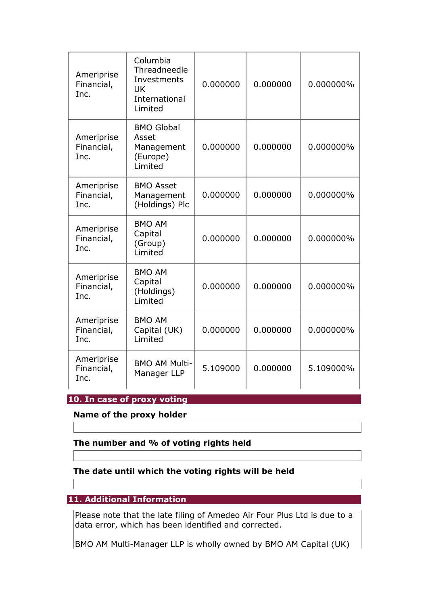| Ameriprise<br>Financial,<br>Inc. | Columbia<br>Threadneedle<br>Investments<br>UK<br>International<br>Limited | 0.000000 | 0.000000 | 0.000000% |
|----------------------------------|---------------------------------------------------------------------------|----------|----------|-----------|
| Ameriprise<br>Financial,<br>Inc. | <b>BMO Global</b><br>Asset<br>Management<br>(Europe)<br>Limited           | 0.000000 | 0.000000 | 0.000000% |
| Ameriprise<br>Financial,<br>Inc. | <b>BMO Asset</b><br>Management<br>(Holdings) Plc                          | 0.000000 | 0.000000 | 0.000000% |
| Ameriprise<br>Financial,<br>Inc. | <b>BMO AM</b><br>Capital<br>(Group)<br>Limited                            | 0.000000 | 0.000000 | 0.000000% |
| Ameriprise<br>Financial,<br>Inc. | <b>BMO AM</b><br>Capital<br>(Holdings)<br>Limited                         | 0.000000 | 0.000000 | 0.000000% |
| Ameriprise<br>Financial,<br>Inc. | <b>BMO AM</b><br>Capital (UK)<br>Limited                                  | 0.000000 | 0.000000 | 0.000000% |
| Ameriprise<br>Financial,<br>Inc. | <b>BMO AM Multi-</b><br>Manager LLP                                       | 5.109000 | 0.000000 | 5.109000% |

# **10. In case of proxy voting**

## **Name of the proxy holder**

# **The number and % of voting rights held**

## **The date until which the voting rights will be held**

# **11. Additional Information**

Please note that the late filing of Amedeo Air Four Plus Ltd is due to a data error, which has been identified and corrected.

BMO AM Multi-Manager LLP is wholly owned by BMO AM Capital (UK)